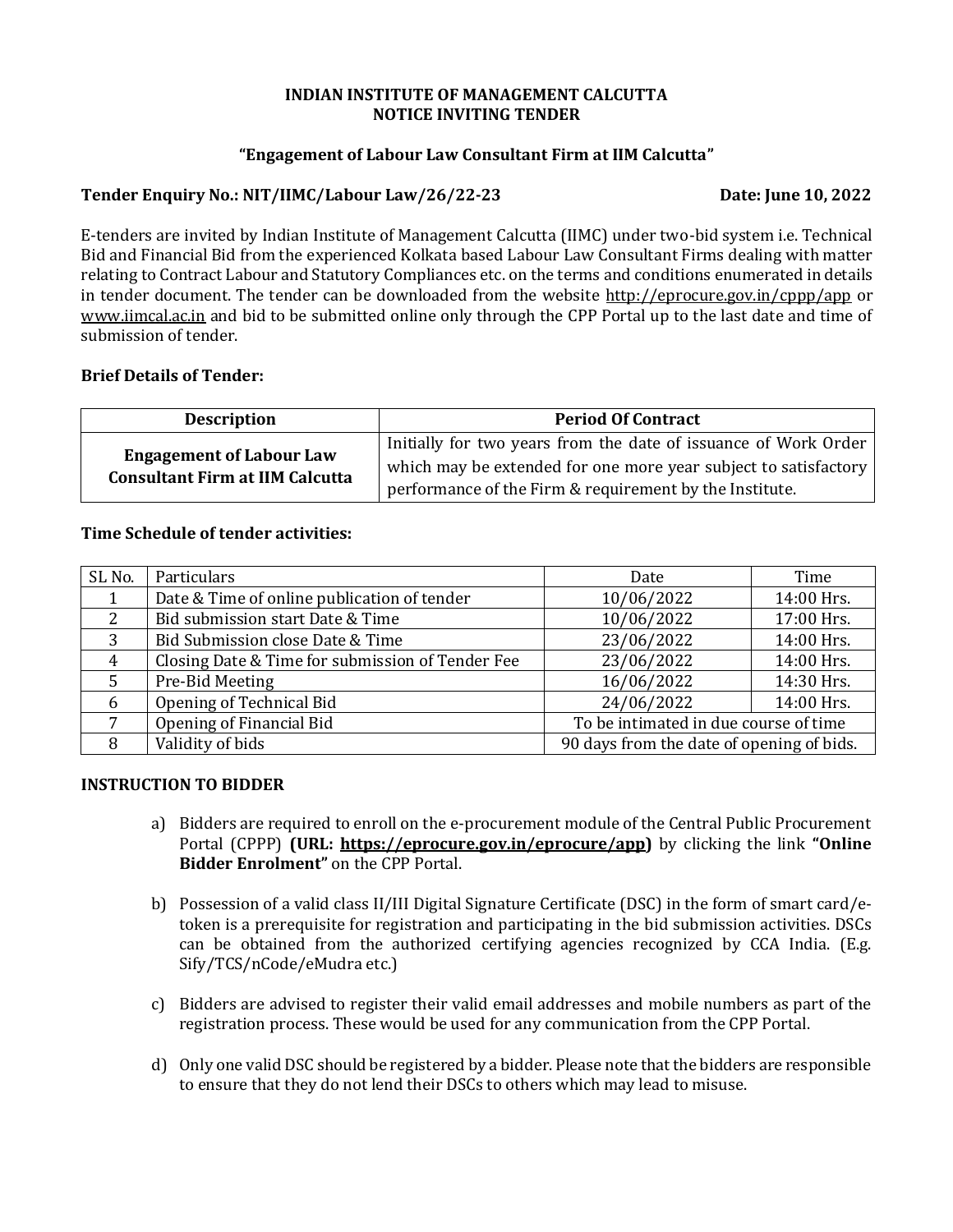#### **INDIAN INSTITUTE OF MANAGEMENT CALCUTTA NOTICE INVITING TENDER**

#### **"Engagement of Labour Law Consultant Firm at IIM Calcutta"**

#### **Tender Enquiry No.: NIT/IIMC/Labour Law/26/22-23 Date: June 10, 2022**

E-tenders are invited by Indian Institute of Management Calcutta (IIMC) under two-bid system i.e. Technical Bid and Financial Bid from the experienced Kolkata based Labour Law Consultant Firms dealing with matter relating to Contract Labour and Statutory Compliances etc. on the terms and conditions enumerated in details in tender document. The tender can be downloaded from the website<http://eprocure.gov.in/cppp/app> or [www.iimcal.ac.in](http://www.iimcal.ac.in/) and bid to be submitted online only through the CPP Portal up to the last date and time of submission of tender.

#### **Brief Details of Tender:**

| <b>Description</b>                                                        | <b>Period Of Contract</b>                                                                                                                                                                       |
|---------------------------------------------------------------------------|-------------------------------------------------------------------------------------------------------------------------------------------------------------------------------------------------|
| <b>Engagement of Labour Law</b><br><b>Consultant Firm at IIM Calcutta</b> | Initially for two years from the date of issuance of Work Order<br>which may be extended for one more year subject to satisfactory  <br>performance of the Firm & requirement by the Institute. |

# **Time Schedule of tender activities:**

| SL <sub>No.</sub> | Particulars                                      | Date                                      | Time       |  |
|-------------------|--------------------------------------------------|-------------------------------------------|------------|--|
|                   | Date & Time of online publication of tender      | 10/06/2022                                | 14:00 Hrs. |  |
| 2                 | Bid submission start Date & Time                 | 10/06/2022                                | 17:00 Hrs. |  |
| 3                 | Bid Submission close Date & Time                 | 23/06/2022                                | 14:00 Hrs. |  |
| 4                 | Closing Date & Time for submission of Tender Fee | 23/06/2022                                | 14:00 Hrs. |  |
|                   | Pre-Bid Meeting                                  | 16/06/2022                                | 14:30 Hrs. |  |
| 6                 | Opening of Technical Bid                         | 24/06/2022                                | 14:00 Hrs. |  |
|                   | Opening of Financial Bid                         | To be intimated in due course of time     |            |  |
| 8                 | Validity of bids                                 | 90 days from the date of opening of bids. |            |  |

#### **INSTRUCTION TO BIDDER**

- a) Bidders are required to enroll on the e-procurement module of the Central Public Procurement Portal (CPPP) **(URL: [https://eprocure.gov.in/eprocure/app\)](https://eprocure.gov.in/eprocure/app)** by clicking the link **"Online Bidder Enrolment"** on the CPP Portal.
- b) Possession of a valid class II/III Digital Signature Certificate (DSC) in the form of smart card/etoken is a prerequisite for registration and participating in the bid submission activities. DSCs can be obtained from the authorized certifying agencies recognized by CCA India. (E.g. Sify/TCS/nCode/eMudra etc.)
- c) Bidders are advised to register their valid email addresses and mobile numbers as part of the registration process. These would be used for any communication from the CPP Portal.
- d) Only one valid DSC should be registered by a bidder. Please note that the bidders are responsible to ensure that they do not lend their DSCs to others which may lead to misuse.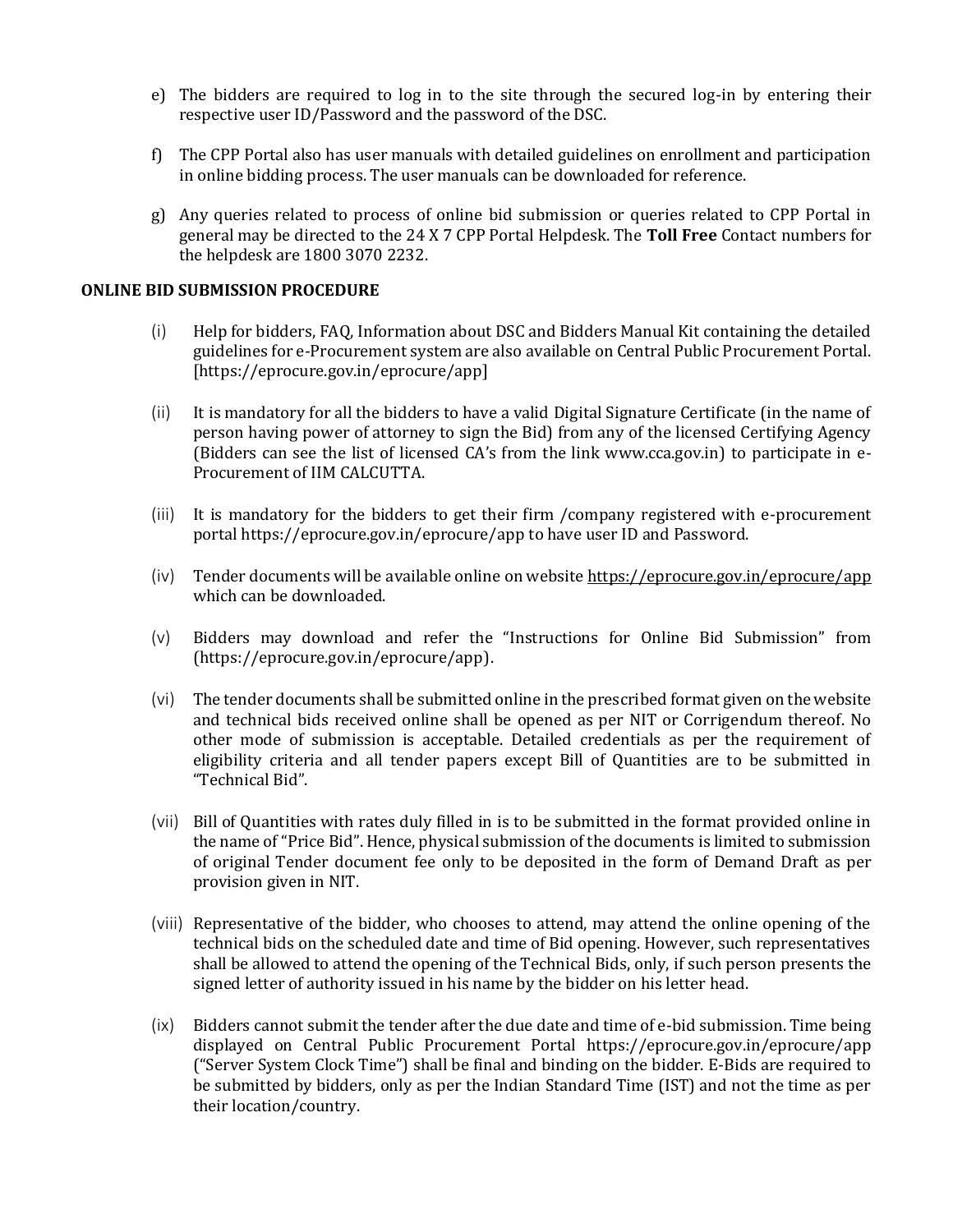- e) The bidders are required to log in to the site through the secured log-in by entering their respective user ID/Password and the password of the DSC.
- f) The CPP Portal also has user manuals with detailed guidelines on enrollment and participation in online bidding process. The user manuals can be downloaded for reference.
- g) Any queries related to process of online bid submission or queries related to CPP Portal in general may be directed to the 24 X 7 CPP Portal Helpdesk. The **Toll Free** Contact numbers for the helpdesk are 1800 3070 2232.

#### **ONLINE BID SUBMISSION PROCEDURE**

- (i) Help for bidders, FAQ, Information about DSC and Bidders Manual Kit containing the detailed guidelines for e-Procurement system are also available on Central Public Procurement Portal. [https://eprocure.gov.in/eprocure/app]
- (ii) It is mandatory for all the bidders to have a valid Digital Signature Certificate (in the name of person having power of attorney to sign the Bid) from any of the licensed Certifying Agency (Bidders can see the list of licensed CA's from the link www.cca.gov.in) to participate in e-Procurement of IIM CALCUTTA.
- (iii) It is mandatory for the bidders to get their firm /company registered with e-procurement portal<https://eprocure.gov.in/eprocure/app> to have user ID and Password.
- (iv) Tender documents will be available online on website <https://eprocure.gov.in/eprocure/app> which can be downloaded.
- (v) Bidders may download and refer the "Instructions for Online Bid Submission" from [\(https://eprocure.gov.in/eprocure/app\)](https://eprocure.gov.in/eprocure/app).
- (vi) The tender documents shall be submitted online in the prescribed format given on the website and technical bids received online shall be opened as per NIT or Corrigendum thereof. No other mode of submission is acceptable. Detailed credentials as per the requirement of eligibility criteria and all tender papers except Bill of Quantities are to be submitted in "Technical Bid".
- (vii) Bill of Quantities with rates duly filled in is to be submitted in the format provided online in the name of "Price Bid". Hence, physical submission of the documents is limited to submission of original Tender document fee only to be deposited in the form of Demand Draft as per provision given in NIT.
- (viii) Representative of the bidder, who chooses to attend, may attend the online opening of the technical bids on the scheduled date and time of Bid opening. However, such representatives shall be allowed to attend the opening of the Technical Bids, only, if such person presents the signed letter of authority issued in his name by the bidder on his letter head.
- (ix) Bidders cannot submit the tender after the due date and time of e-bid submission. Time being displayed on Central Public Procurement Portal https://eprocure.gov.in/eprocure/app ("Server System Clock Time") shall be final and binding on the bidder. E-Bids are required to be submitted by bidders, only as per the Indian Standard Time (IST) and not the time as per their location/country.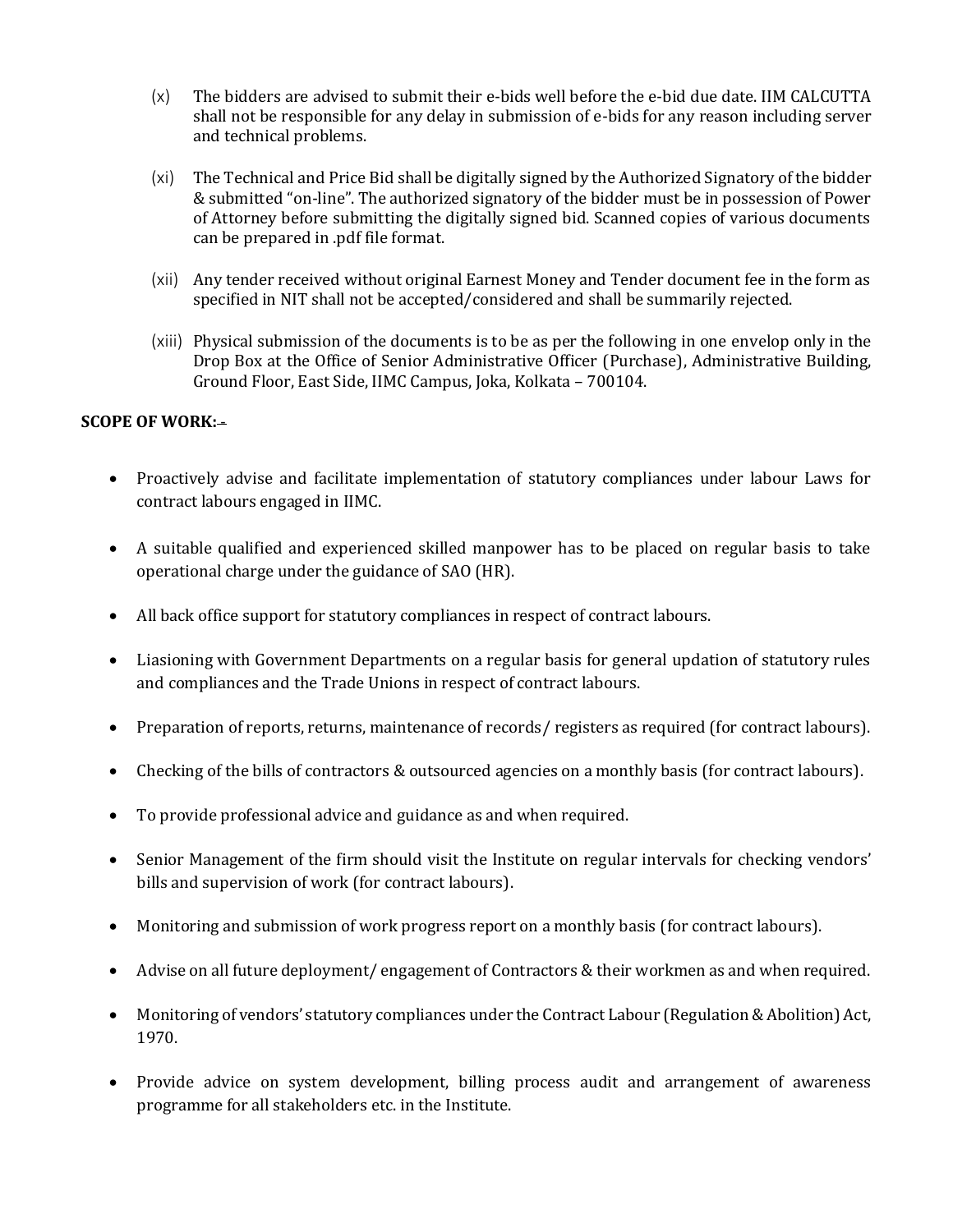- (x) The bidders are advised to submit their e-bids well before the e-bid due date. IIM CALCUTTA shall not be responsible for any delay in submission of e-bids for any reason including server and technical problems.
- (xi) The Technical and Price Bid shall be digitally signed by the Authorized Signatory of the bidder & submitted "on-line". The authorized signatory of the bidder must be in possession of Power of Attorney before submitting the digitally signed bid. Scanned copies of various documents can be prepared in .pdf file format.
- (xii) Any tender received without original Earnest Money and Tender document fee in the form as specified in NIT shall not be accepted/considered and shall be summarily rejected.
- (xiii) Physical submission of the documents is to be as per the following in one envelop only in the Drop Box at the Office of Senior Administrative Officer (Purchase), Administrative Building, Ground Floor, East Side, IIMC Campus, Joka, Kolkata – 700104.

#### **SCOPE OF WORK:-**

- Proactively advise and facilitate implementation of statutory compliances under labour Laws for contract labours engaged in IIMC.
- A suitable qualified and experienced skilled manpower has to be placed on regular basis to take operational charge under the guidance of SAO (HR).
- All back office support for statutory compliances in respect of contract labours.
- Liasioning with Government Departments on a regular basis for general updation of statutory rules and compliances and the Trade Unions in respect of contract labours.
- Preparation of reports, returns, maintenance of records/ registers as required (for contract labours).
- Checking of the bills of contractors & outsourced agencies on a monthly basis (for contract labours).
- To provide professional advice and guidance as and when required.
- Senior Management of the firm should visit the Institute on regular intervals for checking vendors' bills and supervision of work (for contract labours).
- Monitoring and submission of work progress report on a monthly basis (for contract labours).
- Advise on all future deployment/ engagement of Contractors & their workmen as and when required.
- Monitoring of vendors' statutory compliances under the Contract Labour (Regulation & Abolition) Act, 1970.
- Provide advice on system development, billing process audit and arrangement of awareness programme for all stakeholders etc. in the Institute.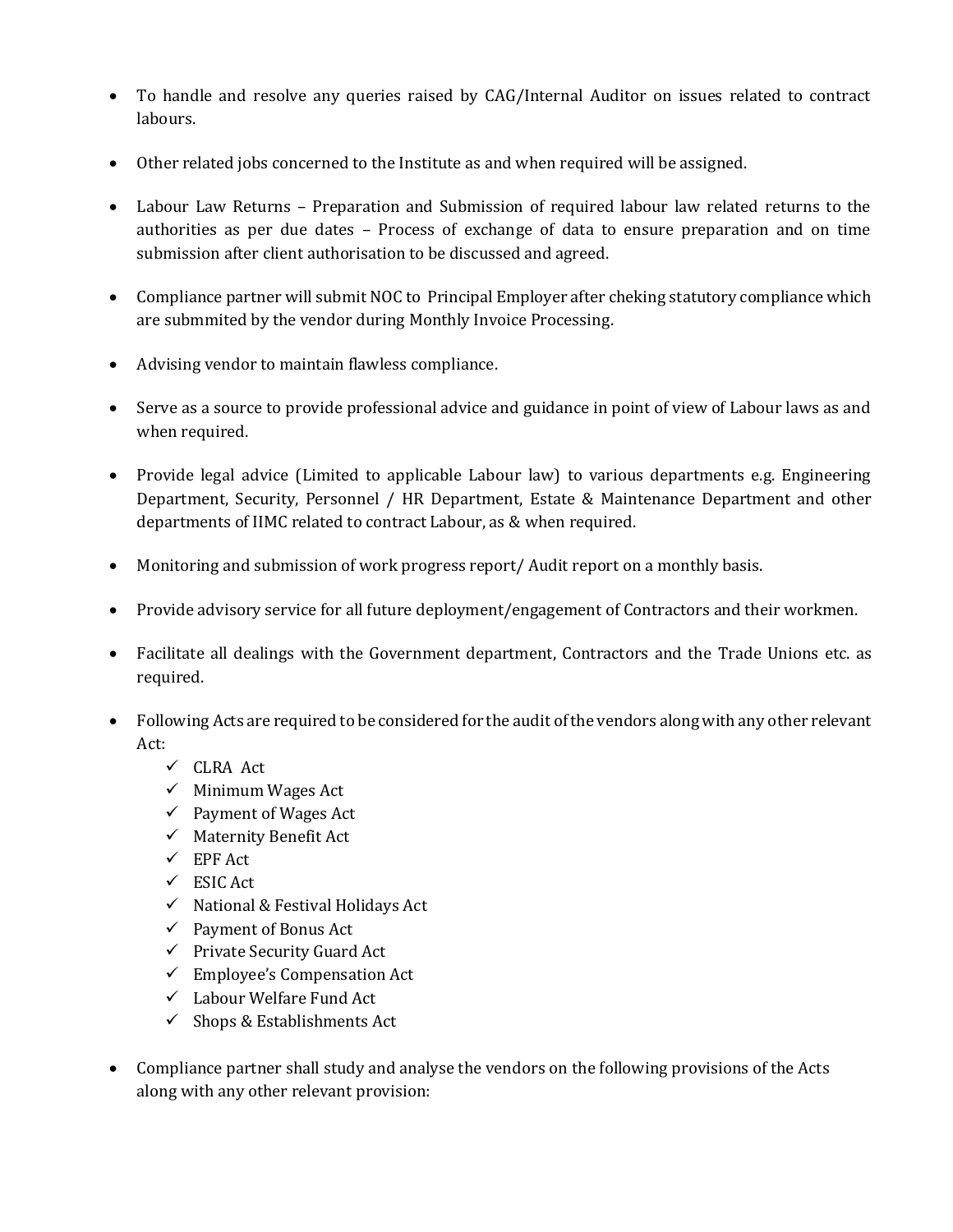- To handle and resolve any queries raised by CAG/Internal Auditor on issues related to contract labours.
- Other related jobs concerned to the Institute as and when required will be assigned.
- Labour Law Returns Preparation and Submission of required labour law related returns to the authorities as per due dates – Process of exchange of data to ensure preparation and on time submission after client authorisation to be discussed and agreed.
- Compliance partner will submit NOC to Principal Employer after cheking statutory compliance which are submmited by the vendor during Monthly Invoice Processing.
- Advising vendor to maintain flawless compliance.
- Serve as a source to provide professional advice and guidance in point of view of Labour laws as and when required.
- Provide legal advice (Limited to applicable Labour law) to various departments e.g. Engineering Department, Security, Personnel / HR Department, Estate & Maintenance Department and other departments of IIMC related to contract Labour, as & when required.
- Monitoring and submission of work progress report/ Audit report on a monthly basis.
- Provide advisory service for all future deployment/engagement of Contractors and their workmen.
- Facilitate all dealings with the Government department, Contractors and the Trade Unions etc. as required.
- Following Acts are required to be considered for the audit of the vendors along with any other relevant Act:
	- CLRA Act
	- $\checkmark$  Minimum Wages Act
	- $\checkmark$  Payment of Wages Act
	- $\checkmark$  Maternity Benefit Act
	- $\checkmark$  EPF Act
	- $\checkmark$  ESIC Act
	- $\checkmark$  National & Festival Holidays Act
	- $\checkmark$  Payment of Bonus Act
	- $\checkmark$  Private Security Guard Act
	- $\checkmark$  Employee's Compensation Act
	- Labour Welfare Fund Act
	- $\checkmark$  Shops & Establishments Act
- Compliance partner shall study and analyse the vendors on the following provisions of the Acts along with any other relevant provision: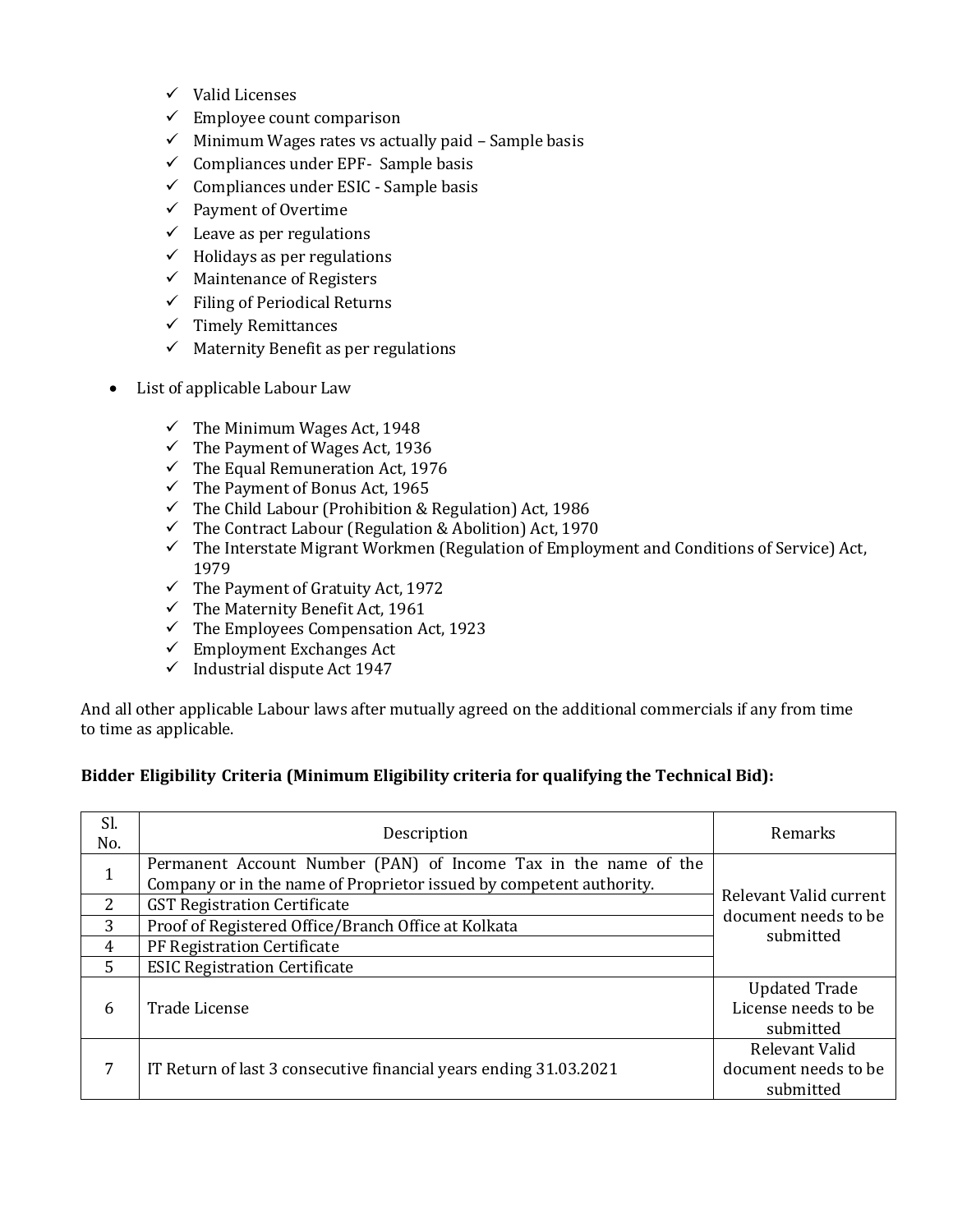- $\checkmark$  Valid Licenses
- $\checkmark$  Employee count comparison
- $\checkmark$  Minimum Wages rates vs actually paid Sample basis
- $\checkmark$  Compliances under EPF- Sample basis
- $\checkmark$  Compliances under ESIC Sample basis
- $\checkmark$  Payment of Overtime
- $\checkmark$  Leave as per regulations
- $\checkmark$  Holidays as per regulations
- $\checkmark$  Maintenance of Registers
- $\checkmark$  Filing of Periodical Returns
- $\checkmark$  Timely Remittances
- $\checkmark$  Maternity Benefit as per regulations
- List of applicable Labour Law
	- $\checkmark$  The Minimum Wages Act, 1948
	- $\checkmark$  The Payment of Wages Act, 1936
	- $\checkmark$  The Equal Remuneration Act, 1976
	- $\checkmark$  The Payment of Bonus Act, 1965
	- $\checkmark$  The Child Labour (Prohibition & Regulation) Act, 1986
	- $\checkmark$  The Contract Labour (Regulation & Abolition) Act, 1970
	- $\checkmark$  The Interstate Migrant Workmen (Regulation of Employment and Conditions of Service) Act, 1979
	- $\checkmark$  The Payment of Gratuity Act, 1972
	- $\checkmark$  The Maternity Benefit Act, 1961
	- $\checkmark$  The Employees Compensation Act, 1923
	- $\checkmark$  Employment Exchanges Act
	- $\checkmark$  Industrial dispute Act 1947

And all other applicable Labour laws after mutually agreed on the additional commercials if any from time to time as applicable.

#### **Bidder Eligibility Criteria (Minimum Eligibility criteria for qualifying the Technical Bid):**

| Sl.<br>No. | Description                                                                                                                            | Remarks                                                  |
|------------|----------------------------------------------------------------------------------------------------------------------------------------|----------------------------------------------------------|
|            | Permanent Account Number (PAN) of Income Tax in the name of the<br>Company or in the name of Proprietor issued by competent authority. |                                                          |
| 2          | <b>GST Registration Certificate</b>                                                                                                    | Relevant Valid current                                   |
| 3          | Proof of Registered Office/Branch Office at Kolkata                                                                                    | document needs to be<br>submitted                        |
| 4          | PF Registration Certificate                                                                                                            |                                                          |
| 5          | <b>ESIC Registration Certificate</b>                                                                                                   |                                                          |
| 6          | Trade License                                                                                                                          | <b>Updated Trade</b><br>License needs to be<br>submitted |
|            | IT Return of last 3 consecutive financial years ending 31.03.2021                                                                      | Relevant Valid<br>document needs to be<br>submitted      |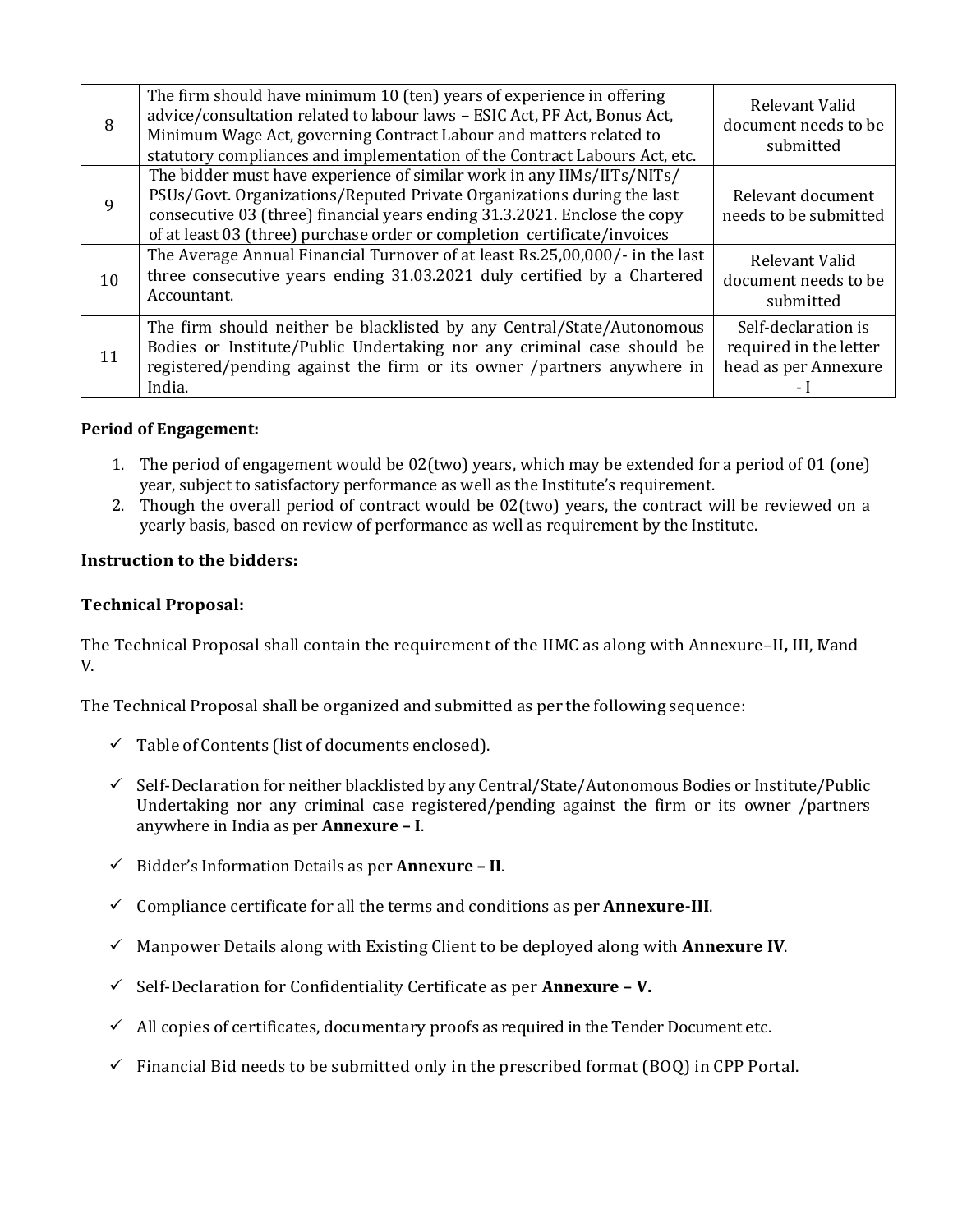| 8            | The firm should have minimum 10 (ten) years of experience in offering<br>advice/consultation related to labour laws - ESIC Act, PF Act, Bonus Act,<br>Minimum Wage Act, governing Contract Labour and matters related to<br>statutory compliances and implementation of the Contract Labours Act, etc.    | Relevant Valid<br>document needs to be<br>submitted                   |
|--------------|-----------------------------------------------------------------------------------------------------------------------------------------------------------------------------------------------------------------------------------------------------------------------------------------------------------|-----------------------------------------------------------------------|
| $\mathbf{q}$ | The bidder must have experience of similar work in any IIMs/IITs/NITs/<br>PSUs/Govt. Organizations/Reputed Private Organizations during the last<br>consecutive 03 (three) financial years ending 31.3.2021. Enclose the copy<br>of at least 03 (three) purchase order or completion certificate/invoices | Relevant document<br>needs to be submitted                            |
| 10           | The Average Annual Financial Turnover of at least Rs.25,00,000/- in the last<br>three consecutive years ending 31.03.2021 duly certified by a Chartered<br>Accountant.                                                                                                                                    | Relevant Valid<br>document needs to be<br>submitted                   |
| 11           | The firm should neither be blacklisted by any Central/State/Autonomous<br>Bodies or Institute/Public Undertaking nor any criminal case should be<br>registered/pending against the firm or its owner /partners anywhere in<br>India.                                                                      | Self-declaration is<br>required in the letter<br>head as per Annexure |

# **Period of Engagement:**

- 1. The period of engagement would be 02(two) years, which may be extended for a period of 01 (one) year, subject to satisfactory performance as well as the Institute's requirement.
- 2. Though the overall period of contract would be 02(two) years, the contract will be reviewed on a yearly basis, based on review of performance as well as requirement by the Institute.

# **Instruction to the bidders:**

# **Technical Proposal:**

The Technical Proposal shall contain the requirement of the IIMC as along with Annexure–II**,** III, IVand V.

The Technical Proposal shall be organized and submitted as per the following sequence:

- $\checkmark$  Table of Contents (list of documents enclosed).
- $\checkmark$  Self-Declaration for neither blacklisted by any Central/State/Autonomous Bodies or Institute/Public Undertaking nor any criminal case registered/pending against the firm or its owner /partners anywhere in India as per **Annexure – I**.
- Bidder's Information Details as per **Annexure – II**.
- $\checkmark$  Compliance certificate for all the terms and conditions as per **Annexure-III**.
- Manpower Details along with Existing Client to be deployed along with **Annexure IV**.
- Self-Declaration for Confidentiality Certificate as per **Annexure – V.**
- $\checkmark$  All copies of certificates, documentary proofs as required in the Tender Document etc.
- $\checkmark$  Financial Bid needs to be submitted only in the prescribed format (BOO) in CPP Portal.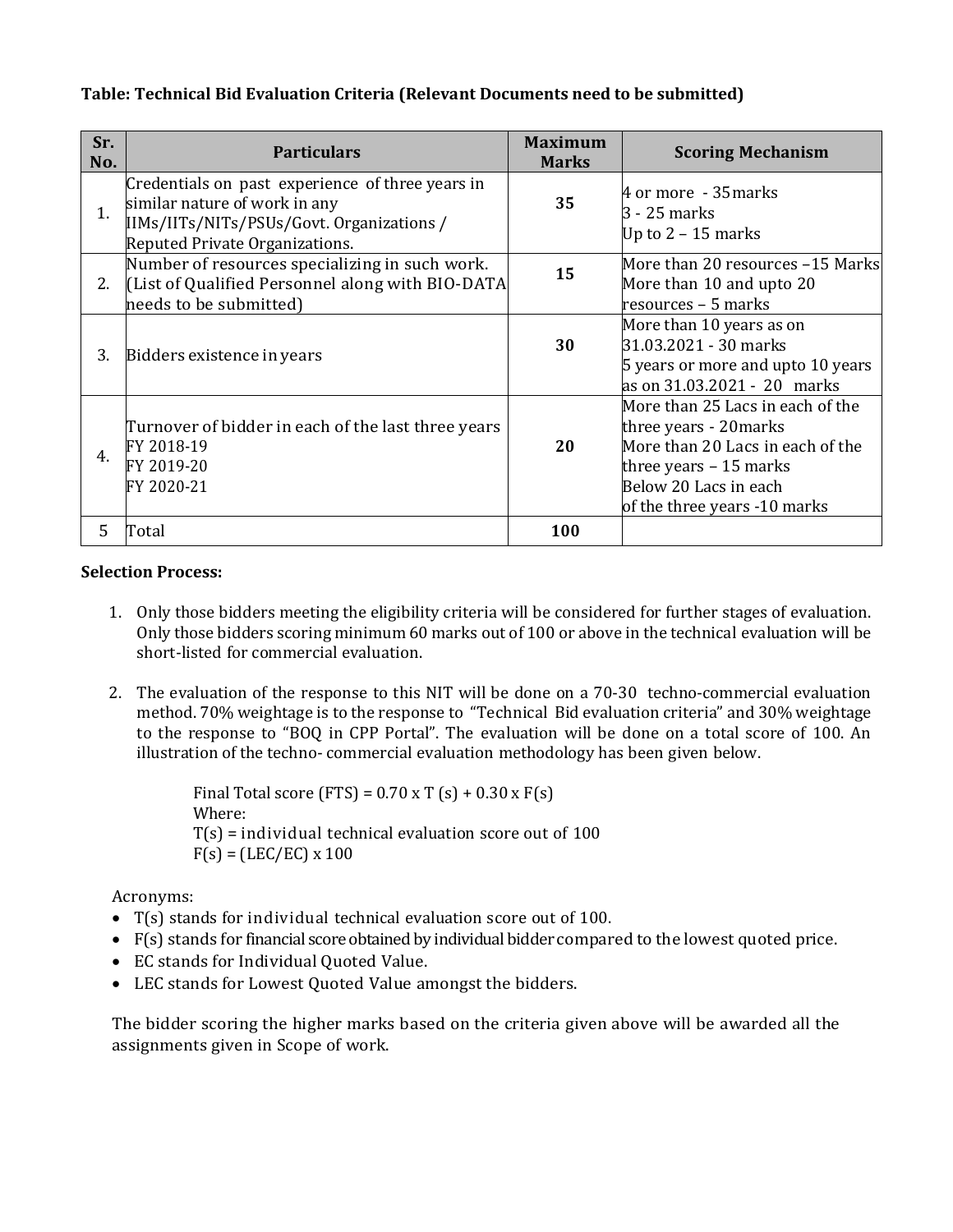# **Table: Technical Bid Evaluation Criteria (Relevant Documents need to be submitted)**

| Sr.<br>No.     | <b>Particulars</b>                                                                                                                                               | <b>Maximum</b><br><b>Marks</b> | <b>Scoring Mechanism</b>                                                                                                                                                           |
|----------------|------------------------------------------------------------------------------------------------------------------------------------------------------------------|--------------------------------|------------------------------------------------------------------------------------------------------------------------------------------------------------------------------------|
| $\mathbf{1}$ . | Credentials on past experience of three years in<br>similar nature of work in any<br>IIMs/IITs/NITs/PSUs/Govt. Organizations /<br>Reputed Private Organizations. | 35                             | 4 or more - 35 marks<br>3 - 25 marks<br>Up to $2 - 15$ marks                                                                                                                       |
| 2.             | Number of resources specializing in such work.<br>[List of Qualified Personnel along with BIO-DATA]<br>needs to be submitted)                                    | 15                             | More than 20 resources -15 Marks<br>More than 10 and upto 20<br>resources - 5 marks                                                                                                |
| 3.             | Bidders existence in years                                                                                                                                       | 30                             | More than 10 years as on<br>31.03.2021 - 30 marks<br>5 years or more and upto 10 years<br>as on 31.03.2021 - 20 marks                                                              |
| 4.             | Turnover of bidder in each of the last three years<br>FY 2018-19<br>FY 2019-20<br>FY 2020-21                                                                     | 20                             | More than 25 Lacs in each of the<br>three years - 20 marks<br>More than 20 Lacs in each of the<br>three years $-15$ marks<br>Below 20 Lacs in each<br>of the three years -10 marks |
| 5.             | Total                                                                                                                                                            | 100                            |                                                                                                                                                                                    |

#### **Selection Process:**

- 1. Only those bidders meeting the eligibility criteria will be considered for further stages of evaluation. Only those bidders scoring minimum 60 marks out of 100 or above in the technical evaluation will be short-listed for commercial evaluation.
- 2. The evaluation of the response to this NIT will be done on a 70-30 techno-commercial evaluation method. 70% weightage is to the response to "Technical Bid evaluation criteria" and 30% weightage to the response to "BOQ in CPP Portal". The evaluation will be done on a total score of 100. An illustration of the techno- commercial evaluation methodology has been given below.

Final Total score (FTS) =  $0.70 \times T$  (s) +  $0.30 \times F(s)$ Where:  $T(s)$  = individual technical evaluation score out of 100  $F(s) = (LEC/EC) \times 100$ 

Acronyms:

- T(s) stands for individual technical evaluation score out of 100.
- F(s) stands for financial score obtained by individual bidder compared to the lowest quoted price.
- EC stands for Individual Quoted Value.
- LEC stands for Lowest Quoted Value amongst the bidders.

The bidder scoring the higher marks based on the criteria given above will be awarded all the assignments given in Scope of work.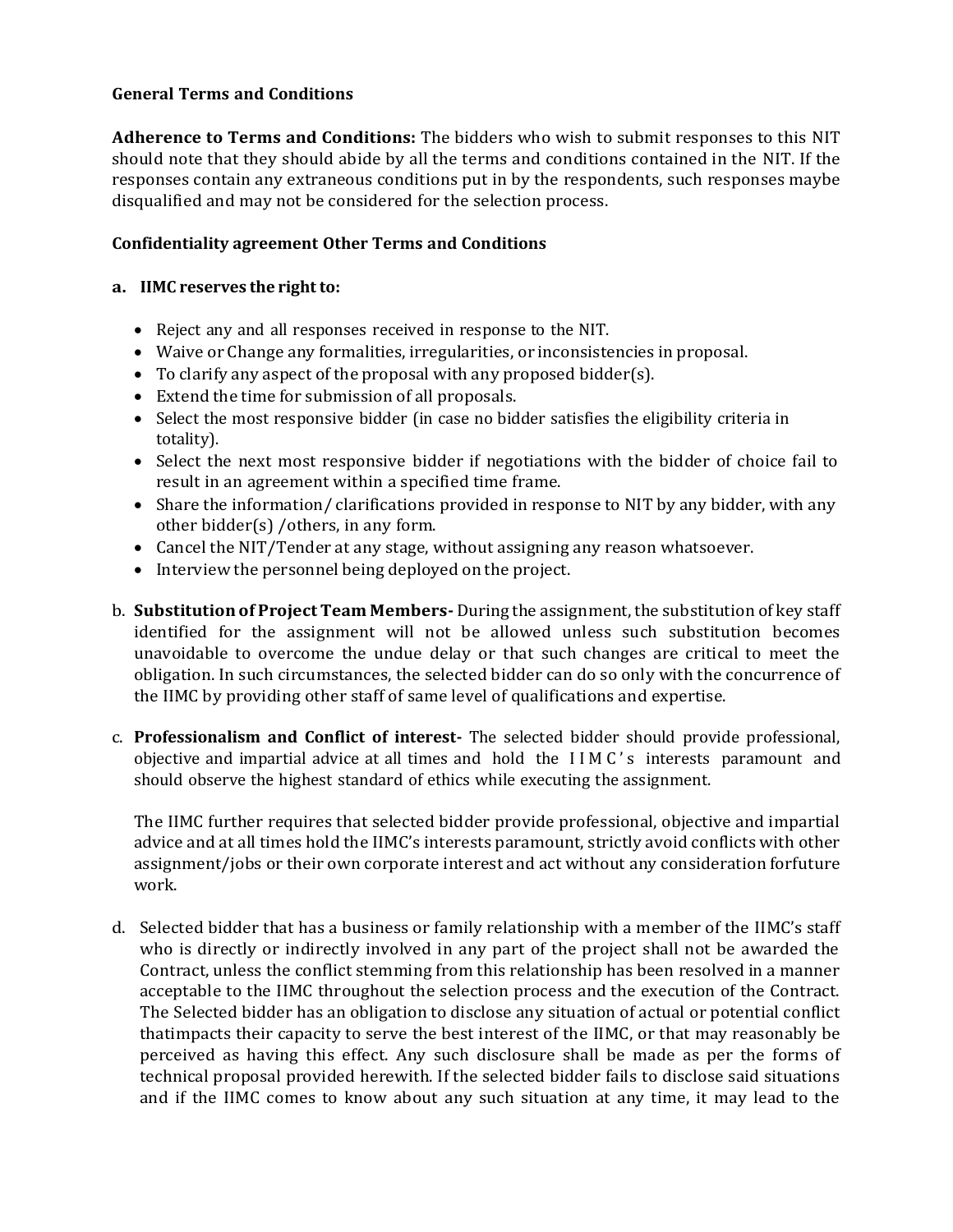# **General Terms and Conditions**

**Adherence to Terms and Conditions:** The bidders who wish to submit responses to this NIT should note that they should abide by all the terms and conditions contained in the NIT. If the responses contain any extraneous conditions put in by the respondents, such responses maybe disqualified and may not be considered for the selection process.

# **Confidentiality agreement Other Terms and Conditions**

# **a. IIMC** reserves the right to:

- Reject any and all responses received in response to the NIT.
- Waive or Change any formalities, irregularities, or inconsistencies in proposal.
- To clarify any aspect of the proposal with any proposed bidder(s).
- Extend the time for submission of all proposals.
- Select the most responsive bidder (in case no bidder satisfies the eligibility criteria in totality).
- Select the next most responsive bidder if negotiations with the bidder of choice fail to result in an agreement within a specified time frame.
- Share the information/ clarifications provided in response to NIT by any bidder, with any other bidder(s) /others, in any form.
- Cancel the NIT/Tender at any stage, without assigning any reason whatsoever.
- Interview the personnel being deployed on the project.
- b. **Substitution of Project Team Members-** During the assignment, the substitution of key staff identified for the assignment will not be allowed unless such substitution becomes unavoidable to overcome the undue delay or that such changes are critical to meet the obligation. In such circumstances, the selected bidder can do so only with the concurrence of the IIMC by providing other staff of same level of qualifications and expertise.
- c. **Professionalism and Conflict of interest-** The selected bidder should provide professional, objective and impartial advice at all times and hold the I I M C ' s interests paramount and should observe the highest standard of ethics while executing the assignment.

The IIMC further requires that selected bidder provide professional, objective and impartial advice and at all times hold the IIMC's interests paramount, strictly avoid conflicts with other assignment/jobs or their own corporate interest and act without any consideration forfuture work.

d. Selected bidder that has a business or family relationship with a member of the IIMC's staff who is directly or indirectly involved in any part of the project shall not be awarded the Contract, unless the conflict stemming from this relationship has been resolved in a manner acceptable to the IIMC throughout the selection process and the execution of the Contract. The Selected bidder has an obligation to disclose any situation of actual or potential conflict thatimpacts their capacity to serve the best interest of the IIMC, or that may reasonably be perceived as having this effect. Any such disclosure shall be made as per the forms of technical proposal provided herewith. If the selected bidder fails to disclose said situations and if the IIMC comes to know about any such situation at any time, it may lead to the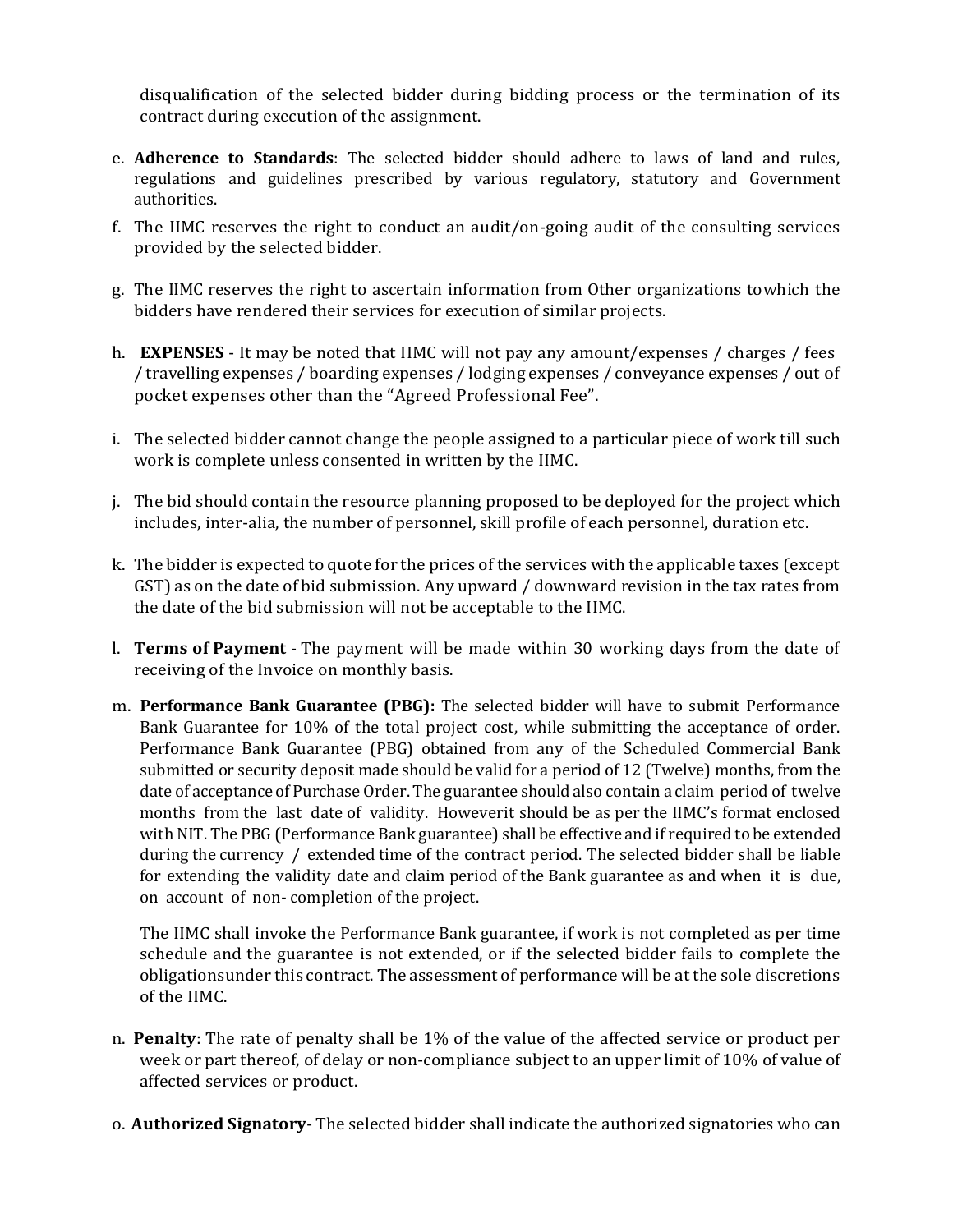disqualification of the selected bidder during bidding process or the termination of its contract during execution of the assignment.

- e. **Adherence to Standards**: The selected bidder should adhere to laws of land and rules, regulations and guidelines prescribed by various regulatory, statutory and Government authorities.
- f. The IIMC reserves the right to conduct an audit/on-going audit of the consulting services provided by the selected bidder.
- g. The IIMC reserves the right to ascertain information from Other organizations towhich the bidders have rendered their services for execution of similar projects.
- h. **EXPENSES** It may be noted that IIMC will not pay any amount/expenses / charges / fees / travelling expenses / boarding expenses / lodging expenses / conveyance expenses / out of pocket expenses other than the "Agreed Professional Fee".
- i. The selected bidder cannot change the people assigned to a particular piece of work till such work is complete unless consented in written by the IIMC.
- j. The bid should contain the resource planning proposed to be deployed for the project which includes, inter-alia, the number of personnel, skill profile of each personnel, duration etc.
- k. The bidder is expected to quote for the prices of the services with the applicable taxes (except GST) as on the date of bid submission. Any upward / downward revision in the tax rates from the date of the bid submission will not be acceptable to the IIMC.
- l. **Terms of Payment** The payment will be made within 30 working days from the date of receiving of the Invoice on monthly basis.
- m. **Performance Bank Guarantee (PBG):** The selected bidder will have to submit Performance Bank Guarantee for 10% of the total project cost, while submitting the acceptance of order. Performance Bank Guarantee (PBG) obtained from any of the Scheduled Commercial Bank submitted or security deposit made should be valid for a period of 12 (Twelve) months, from the date of acceptance of Purchase Order. The guarantee should also contain a claim period of twelve months from the last date of validity. However it should be as per the IIMC's format enclosed with NIT. The PBG (Performance Bank guarantee) shall be effective and if required to be extended during the currency / extended time of the contract period. The selected bidder shall be liable for extending the validity date and claim period of the Bank guarantee as and when it is due, on account of non- completion of the project.

The IIMC shall invoke the Performance Bank guarantee, if work is not completed as per time schedule and the guarantee is not extended, or if the selected bidder fails to complete the obligationsunder this contract. The assessment of performance will be at the sole discretions of the IIMC.

- n. **Penalty**: The rate of penalty shall be 1% of the value of the affected service or product per week or part thereof, of delay or non-compliance subject to an upper limit of 10% of value of affected services or product.
- o. **Authorized Signatory** The selected bidder shall indicate the authorized signatories who can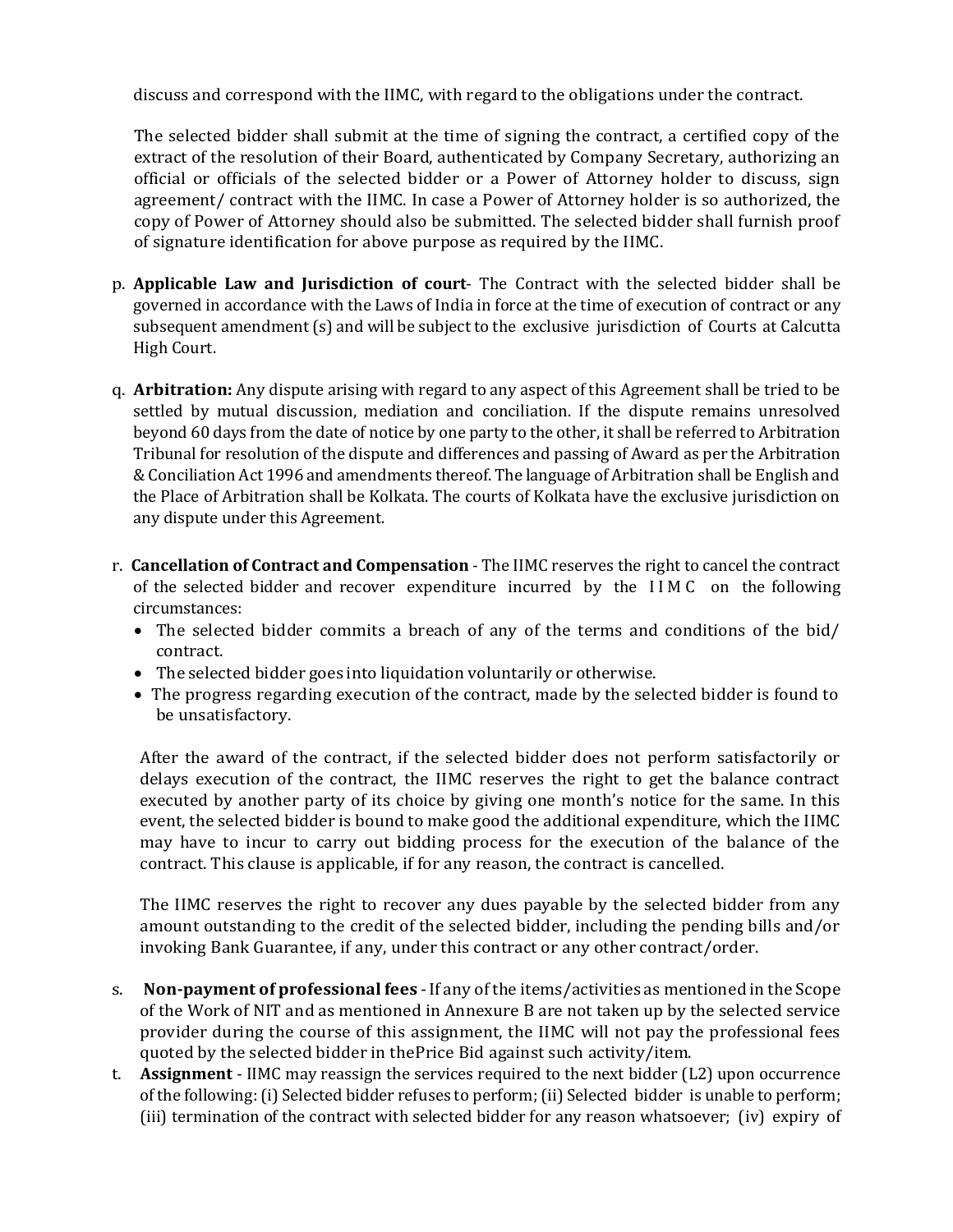discuss and correspond with the IIMC, with regard to the obligations under the contract.

The selected bidder shall submit at the time of signing the contract, a certified copy of the extract of the resolution of their Board, authenticated by Company Secretary, authorizing an official or officials of the selected bidder or a Power of Attorney holder to discuss, sign agreement/ contract with the IIMC. In case a Power of Attorney holder is so authorized, the copy of Power of Attorney should also be submitted. The selected bidder shall furnish proof of signature identification for above purpose as required by the IIMC.

- p. **Applicable Law and Jurisdiction of court** The Contract with the selected bidder shall be governed in accordance with the Laws of India in force at the time of execution of contract or any subsequent amendment (s) and will be subject to the exclusive jurisdiction of Courts at Calcutta High Court.
- q. **Arbitration:** Any dispute arising with regard to any aspect of this Agreement shall be tried to be settled by mutual discussion, mediation and conciliation. If the dispute remains unresolved beyond 60 days from the date of notice by one party to the other, it shall be referred to Arbitration Tribunal for resolution of the dispute and differences and passing of Award as per the Arbitration & Conciliation Act 1996 and amendments thereof. The language of Arbitration shall be English and the Place of Arbitration shall be Kolkata. The courts of Kolkata have the exclusive jurisdiction on any dispute under this Agreement.
- r. **Cancellation of Contract and Compensation** The IIMC reserves the right to cancel the contract of the selected bidder and recover expenditure incurred by the I I M C on the following circumstances:
	- The selected bidder commits a breach of any of the terms and conditions of the bid/ contract.
	- The selected bidder goes into liquidation voluntarily or otherwise.
	- The progress regarding execution of the contract, made by the selected bidder is found to be unsatisfactory.

After the award of the contract, if the selected bidder does not perform satisfactorily or delays execution of the contract, the IIMC reserves the right to get the balance contract executed by another party of its choice by giving one month's notice for the same. In this event, the selected bidder is bound to make good the additional expenditure, which the IIMC may have to incur to carry out bidding process for the execution of the balance of the contract. This clause is applicable, if for any reason, the contract is cancelled.

The IIMC reserves the right to recover any dues payable by the selected bidder from any amount outstanding to the credit of the selected bidder, including the pending bills and/or invoking Bank Guarantee, if any, under this contract or any other contract/order.

- s. **Non-payment of professional fees** -If any ofthe items/activities as mentioned in the Scope of the Work of NIT and as mentioned in Annexure B are not taken up by the selected service provider during the course of this assignment, the IIMC will not pay the professional fees quoted by the selected bidder in thePrice Bid against such activity/item.
- t. **Assignment** IIMC may reassign the services required to the next bidder (L2) upon occurrence of the following:(i) Selected bidder refuses to perform;(ii) Selected bidder is unable to perform; (iii) termination of the contract with selected bidder for any reason whatsoever; (iv) expiry of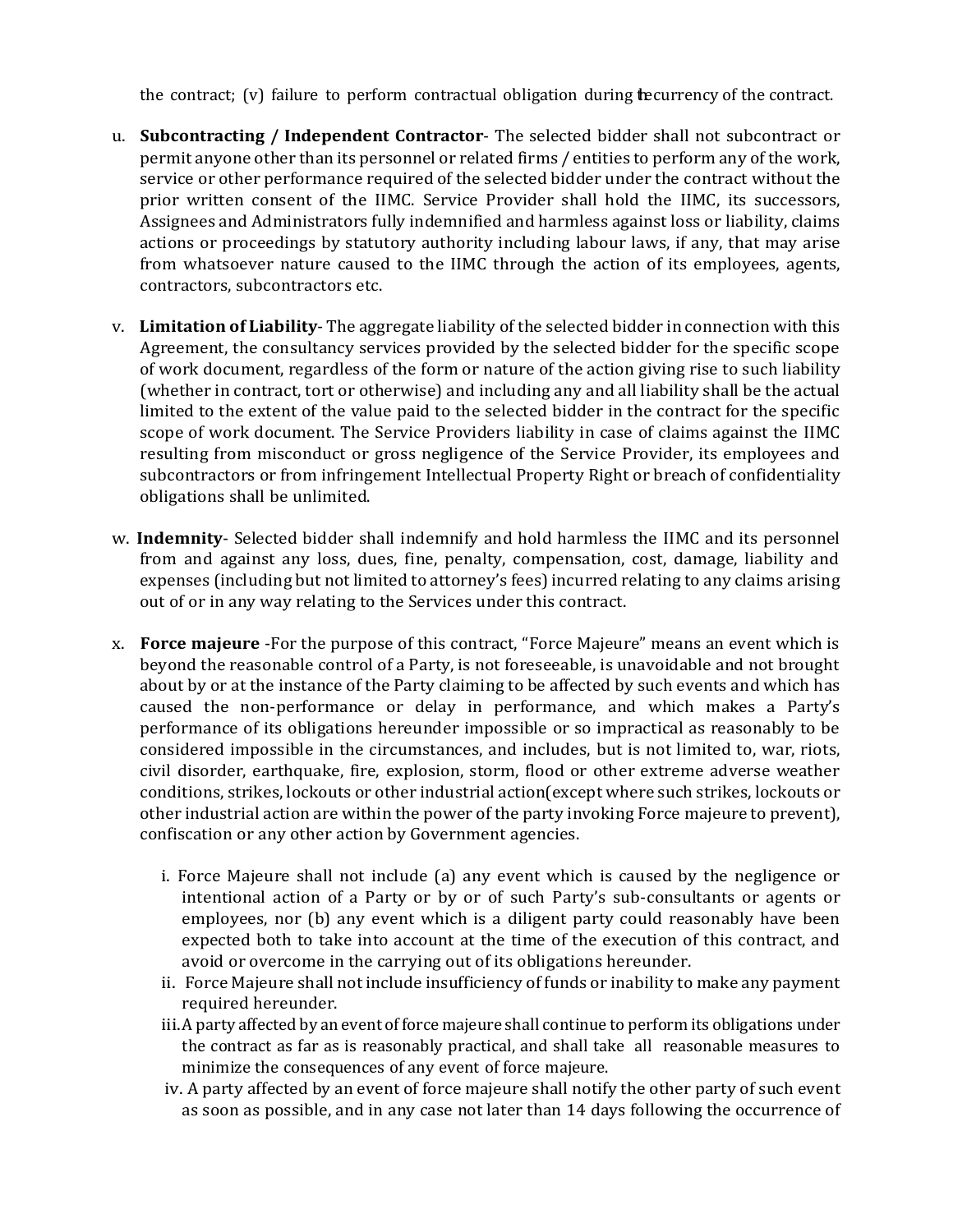the contract;  $(v)$  failure to perform contractual obligation during the eurrency of the contract.

- u. **Subcontracting / Independent Contractor** The selected bidder shall not subcontract or permit anyone other than its personnel or related firms / entities to perform any of the work, service or other performance required of the selected bidder under the contract without the prior written consent of the IIMC. Service Provider shall hold the IIMC, its successors, Assignees and Administrators fully indemnified and harmless against loss or liability, claims actions or proceedings by statutory authority including labour laws, if any, that may arise from whatsoever nature caused to the IIMC through the action of its employees, agents, contractors, subcontractors etc.
- v. **Limitation of Liability** The aggregate liability of the selected bidder in connection with this Agreement, the consultancy services provided by the selected bidder for the specific scope of work document, regardless of the form or nature of the action giving rise to such liability (whether in contract, tort or otherwise) and including any and all liability shall be the actual limited to the extent of the value paid to the selected bidder in the contract for the specific scope of work document. The Service Providers liability in case of claims against the IIMC resulting from misconduct or gross negligence of the Service Provider, its employees and subcontractors or from infringement Intellectual Property Right or breach of confidentiality obligations shall be unlimited.
- w. **Indemnity** Selected bidder shall indemnify and hold harmless the IIMC and its personnel from and against any loss, dues, fine, penalty, compensation, cost, damage, liability and expenses (including but not limited to attorney's fees) incurred relating to any claims arising out of or in any way relating to the Services under this contract.
- x. **Force majeure** -For the purpose of this contract, "Force Majeure" means an event which is beyond the reasonable control of a Party, is not foreseeable, is unavoidable and not brought about by or at the instance of the Party claiming to be affected by such events and which has caused the non-performance or delay in performance, and which makes a Party's performance of its obligations hereunder impossible or so impractical as reasonably to be considered impossible in the circumstances, and includes, but is not limited to, war, riots, civil disorder, earthquake, fire, explosion, storm, flood or other extreme adverse weather conditions, strikes, lockouts or other industrial action(except where such strikes, lockouts or other industrial action are within the power of the party invoking Force majeure to prevent), confiscation or any other action by Government agencies.
	- i. Force Majeure shall not include (a) any event which is caused by the negligence or intentional action of a Party or by or of such Party's sub-consultants or agents or employees, nor (b) any event which is a diligent party could reasonably have been expected both to take into account at the time of the execution of this contract, and avoid or overcome in the carrying out of its obligations hereunder.
	- ii. Force Majeure shall not include insufficiency of funds or inability to make any payment required hereunder.
	- iii.A party affected by an event of force majeure shall continue to perform its obligations under the contract as far as is reasonably practical, and shall take all reasonable measures to minimize the consequences of any event of force majeure.
	- iv. A party affected by an event of force majeure shall notify the other party of such event as soon as possible, and in any case not later than 14 days following the occurrence of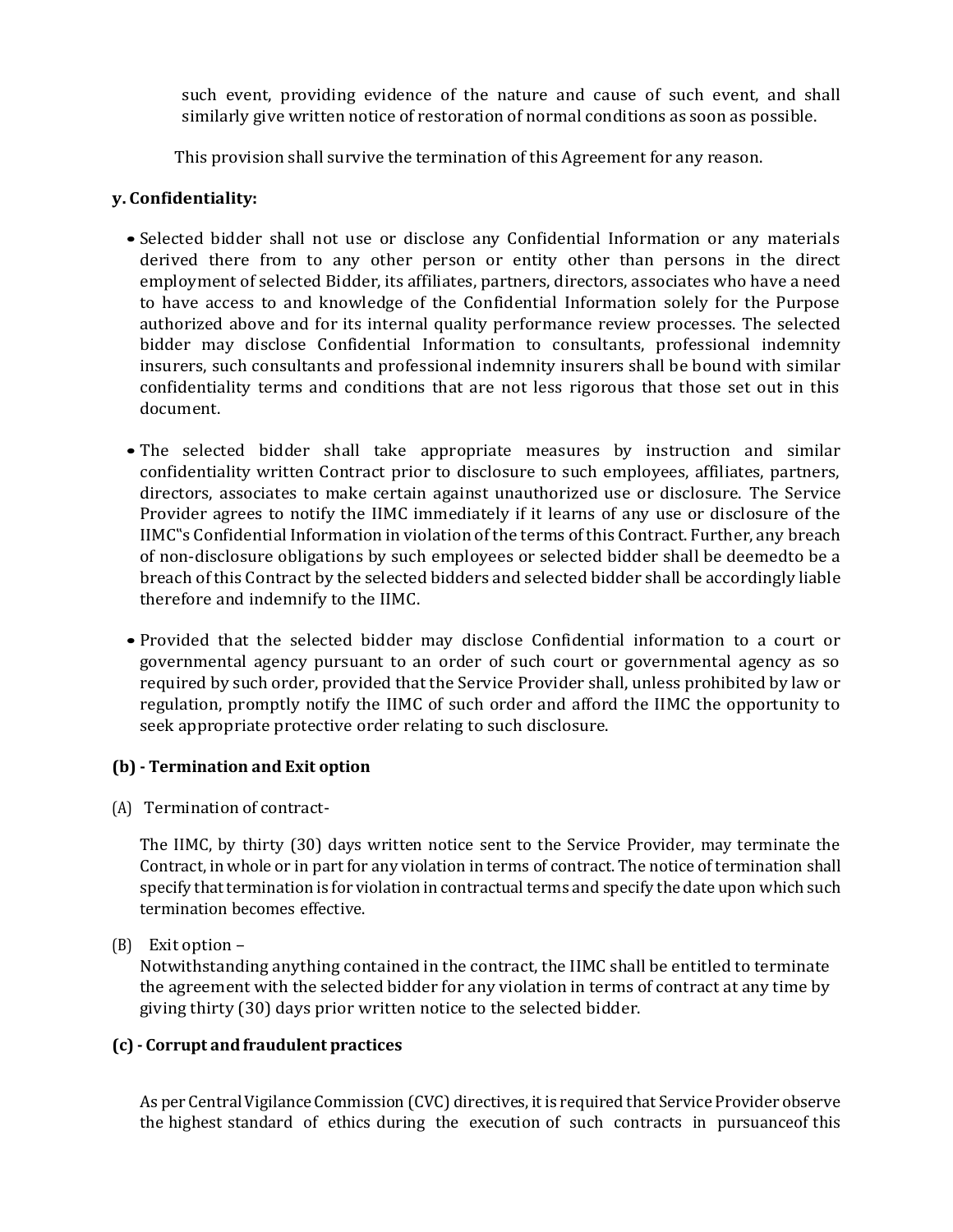such event, providing evidence of the nature and cause of such event, and shall similarly give written notice of restoration of normal conditions as soon as possible.

This provision shall survive the termination of this Agreement for any reason.

# **y. Confidentiality:**

- Selected bidder shall not use or disclose any Confidential Information or any materials derived there from to any other person or entity other than persons in the direct employment of selected Bidder, its affiliates, partners, directors, associates who have a need to have access to and knowledge of the Confidential Information solely for the Purpose authorized above and for its internal quality performance review processes. The selected bidder may disclose Confidential Information to consultants, professional indemnity insurers, such consultants and professional indemnity insurers shall be bound with similar confidentiality terms and conditions that are not less rigorous that those set out in this document.
- The selected bidder shall take appropriate measures by instruction and similar confidentiality written Contract prior to disclosure to such employees, affiliates, partners, directors, associates to make certain against unauthorized use or disclosure. The Service Provider agrees to notify the IIMC immediately if it learns of any use or disclosure of the IIMC"s Confidential Information in violation of the terms of this Contract. Further, any breach of non-disclosure obligations by such employees or selected bidder shall be deemedto be a breach ofthis Contract by the selected bidders and selected bidder shall be accordingly liable therefore and indemnify to the IIMC.
- Provided that the selected bidder may disclose Confidential information to a court or governmental agency pursuant to an order of such court or governmental agency as so required by such order, provided that the Service Provider shall, unless prohibited by law or regulation, promptly notify the IIMC of such order and afford the IIMC the opportunity to seek appropriate protective order relating to such disclosure.

# **(b) - Termination and Exit option**

(A) Termination of contract-

The IIMC, by thirty (30) days written notice sent to the Service Provider, may terminate the Contract, in whole or in part for any violation in terms of contract. The notice of termination shall specify that termination is for violation in contractual terms and specify the date upon which such termination becomes effective.

(B) Exit option –

Notwithstanding anything contained in the contract, the IIMC shall be entitled to terminate the agreement with the selected bidder for any violation in terms of contract at any time by giving thirty (30) days prior written notice to the selected bidder.

# **(c) - Corrupt andfraudulent practices**

As per Central Vigilance Commission (CVC) directives, it is required that Service Provider observe the highest standard of ethics during the execution of such contracts in pursuanceof this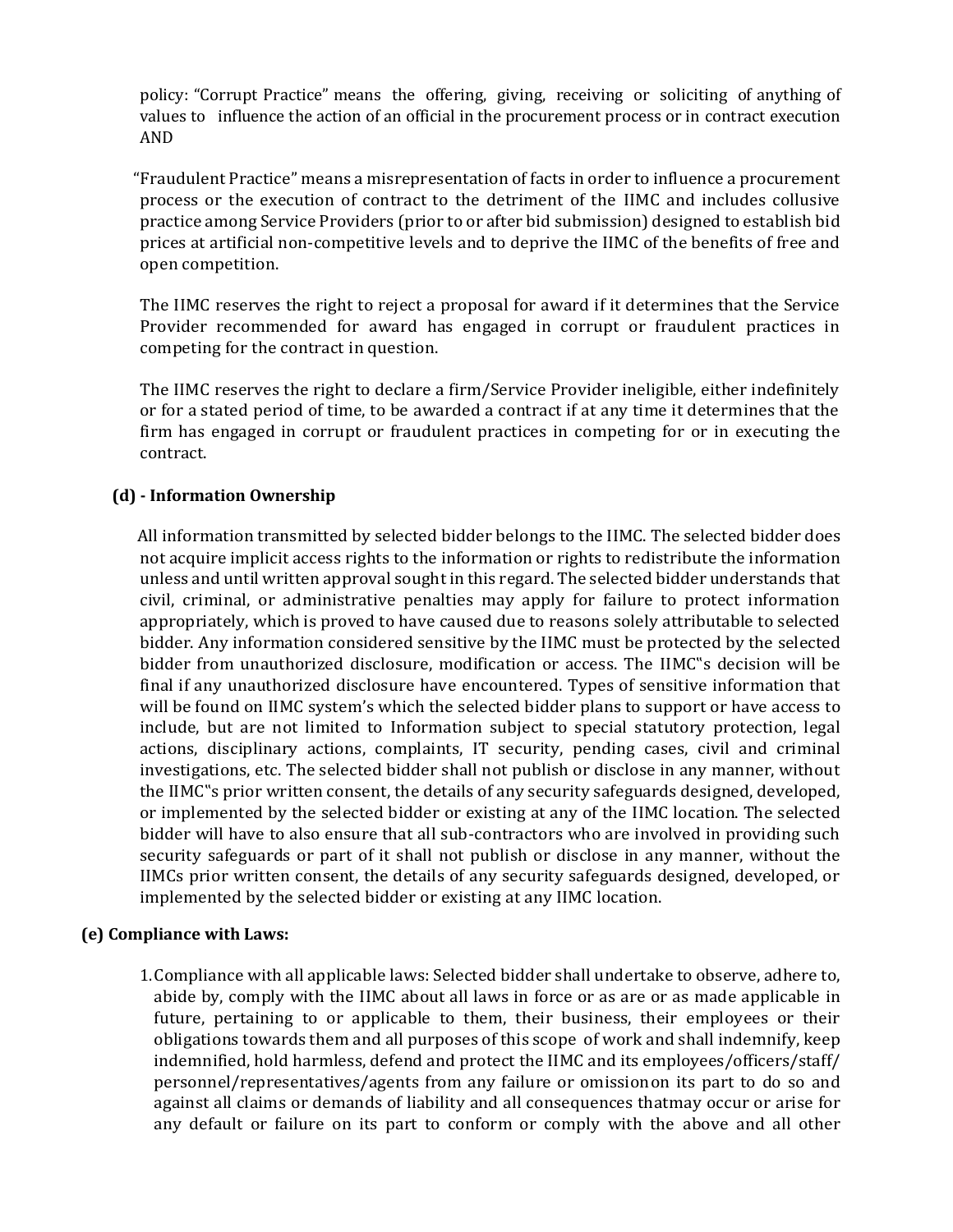policy: "Corrupt Practice" means the offering, giving, receiving or soliciting of anything of values to influence the action of an official in the procurement process or in contract execution AND

"Fraudulent Practice" means a misrepresentation of facts in order to influence a procurement process or the execution of contract to the detriment of the IIMC and includes collusive practice among Service Providers (prior to or after bid submission) designed to establish bid prices at artificial non-competitive levels and to deprive the IIMC of the benefits of free and open competition.

The IIMC reserves the right to reject a proposal for award if it determines that the Service Provider recommended for award has engaged in corrupt or fraudulent practices in competing for the contract in question.

The IIMC reserves the right to declare a firm/Service Provider ineligible, either indefinitely or for a stated period of time, to be awarded a contract if at any time it determines that the firm has engaged in corrupt or fraudulent practices in competing for or in executing the contract.

# **(d) - Information Ownership**

All information transmitted by selected bidder belongs to the IIMC. The selected bidder does not acquire implicit access rights to the information or rights to redistribute the information unless and until written approval sought in this regard. The selected bidder understands that civil, criminal, or administrative penalties may apply for failure to protect information appropriately, which is proved to have caused due to reasons solely attributable to selected bidder. Any information considered sensitive by the IIMC must be protected by the selected bidder from unauthorized disclosure, modification or access. The IIMC"s decision will be final if any unauthorized disclosure have encountered. Types of sensitive information that will be found on IIMC system's which the selected bidder plans to support or have access to include, but are not limited to Information subject to special statutory protection, legal actions, disciplinary actions, complaints, IT security, pending cases, civil and criminal investigations, etc. The selected bidder shall not publish or disclose in any manner, without the IIMC"s prior written consent, the details of any security safeguards designed, developed, or implemented by the selected bidder or existing at any of the IIMC location. The selected bidder will have to also ensure that all sub-contractors who are involved in providing such security safeguards or part of it shall not publish or disclose in any manner, without the IIMCs prior written consent, the details of any security safeguards designed, developed, or implemented by the selected bidder or existing at any IIMC location.

# **(e) Compliance with Laws:**

1.Compliance with all applicable laws: Selected bidder shall undertake to observe, adhere to, abide by, comply with the IIMC about all laws in force or as are or as made applicable in future, pertaining to or applicable to them, their business, their employees or their obligations towards them and all purposes of this scope of work and shall indemnify, keep indemnified, hold harmless, defend and protect the IIMC and its employees/officers/staff/ personnel/representatives/agents from any failure or omissionon its part to do so and against all claims or demands of liability and all consequences thatmay occur or arise for any default or failure on its part to conform or comply with the above and all other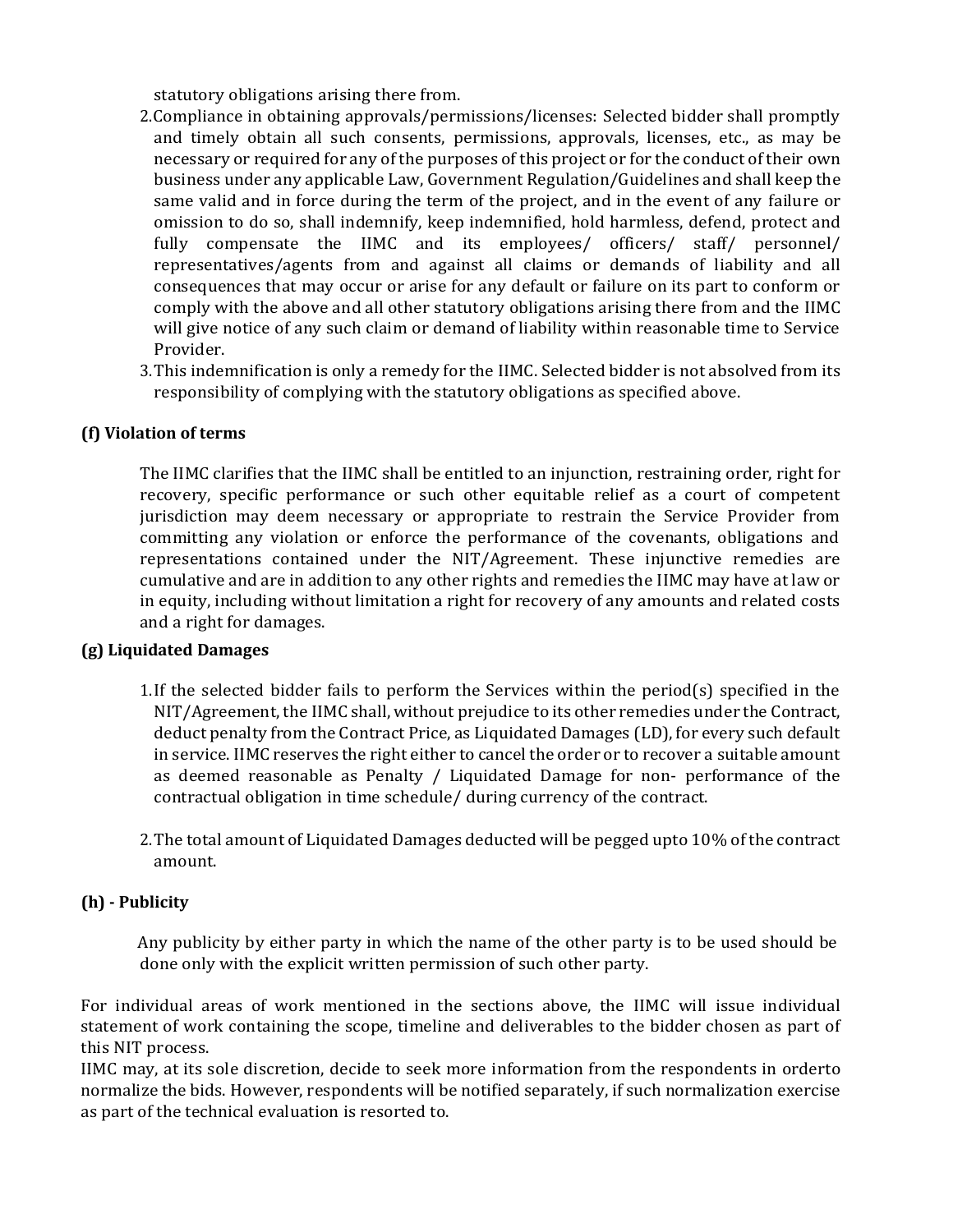statutory obligations arising there from.

- 2.Compliance in obtaining approvals/permissions/licenses: Selected bidder shall promptly and timely obtain all such consents, permissions, approvals, licenses, etc., as may be necessary or required for any of the purposes of this project or for the conduct of their own business under any applicable Law, Government Regulation/Guidelines and shall keep the same valid and in force during the term of the project, and in the event of any failure or omission to do so, shall indemnify, keep indemnified, hold harmless, defend, protect and fully compensate the IIMC and its employees/ officers/ staff/ personnel/ representatives/agents from and against all claims or demands of liability and all consequences that may occur or arise for any default or failure on its part to conform or comply with the above and all other statutory obligations arising there from and the IIMC will give notice of any such claim or demand of liability within reasonable time to Service Provider.
- 3.This indemnification is only a remedy for the IIMC. Selected bidder is not absolved from its responsibility of complying with the statutory obligations as specified above.

# **(f) Violation of terms**

The IIMC clarifies that the IIMC shall be entitled to an injunction, restraining order, right for recovery, specific performance or such other equitable relief as a court of competent jurisdiction may deem necessary or appropriate to restrain the Service Provider from committing any violation or enforce the performance of the covenants, obligations and representations contained under the NIT/Agreement. These injunctive remedies are cumulative and are in addition to any other rights and remedies the IIMC may have at law or in equity, including without limitation a right for recovery of any amounts and related costs and a right for damages.

# **(g) Liquidated Damages**

- 1.If the selected bidder fails to perform the Services within the period(s) specified in the NIT/Agreement, the IIMC shall, without prejudice to its other remedies under the Contract, deduct penalty from the Contract Price, as Liquidated Damages (LD), for every such default in service. IIMC reserves the right either to cancel the order or to recover a suitable amount as deemed reasonable as Penalty / Liquidated Damage for non- performance of the contractual obligation in time schedule/ during currency of the contract.
- 2.The total amount of Liquidated Damages deducted will be pegged upto 10% of the contract amount.

# **(h) - Publicity**

Any publicity by either party in which the name of the other party is to be used should be done only with the explicit written permission of such other party.

For individual areas of work mentioned in the sections above, the IIMC will issue individual statement of work containing the scope, timeline and deliverables to the bidder chosen as part of this NIT process.

IIMC may, at its sole discretion, decide to seek more information from the respondents in orderto normalize the bids. However, respondents will be notified separately, if such normalization exercise as part of the technical evaluation is resorted to.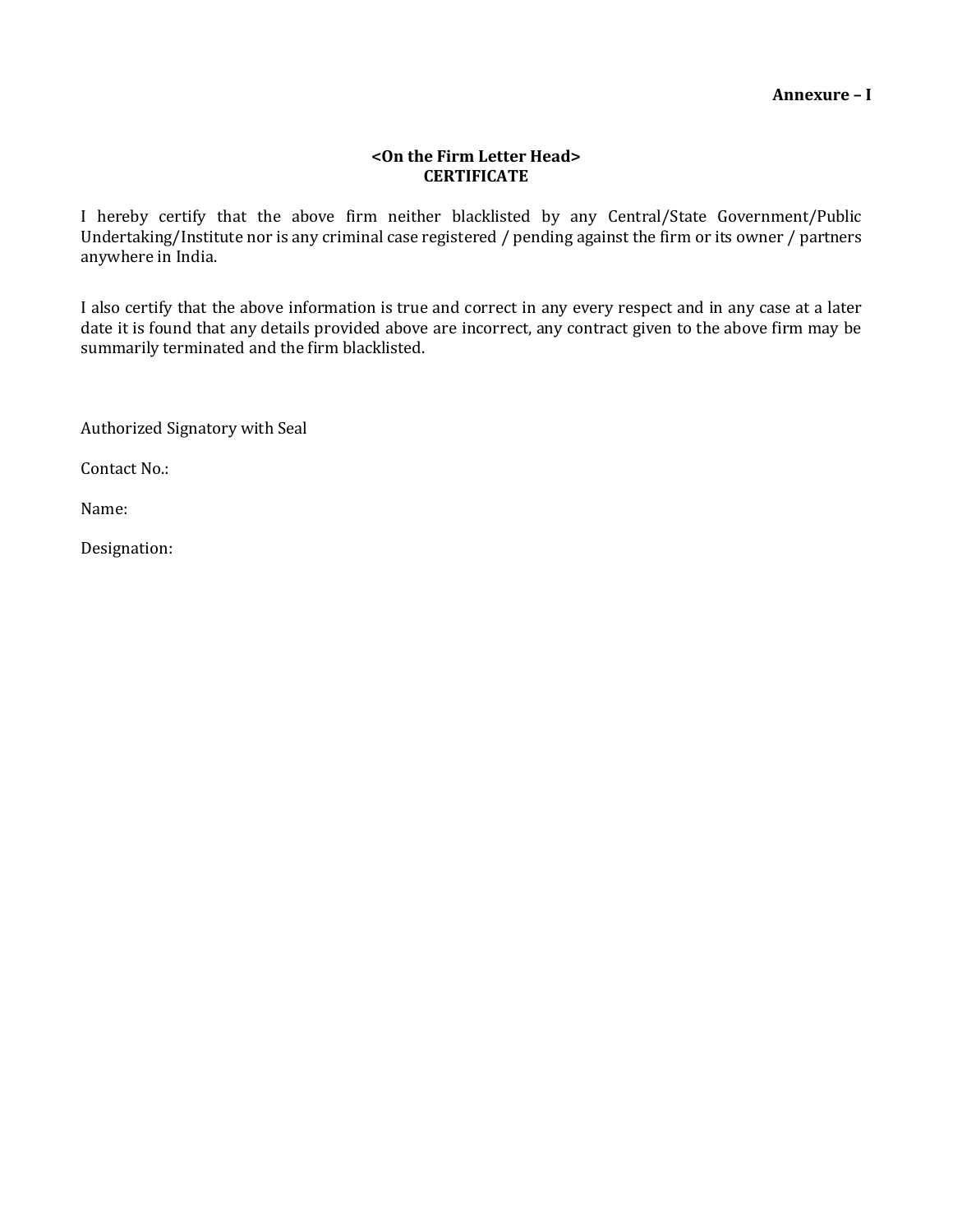#### **<On the Firm Letter Head> CERTIFICATE**

I hereby certify that the above firm neither blacklisted by any Central/State Government/Public Undertaking/Institute nor is any criminal case registered / pending against the firm or its owner / partners anywhere in India.

I also certify that the above information is true and correct in any every respect and in any case at a later date it is found that any details provided above are incorrect, any contract given to the above firm may be summarily terminated and the firm blacklisted.

Authorized Signatory with Seal

Contact No.:

Name:

Designation: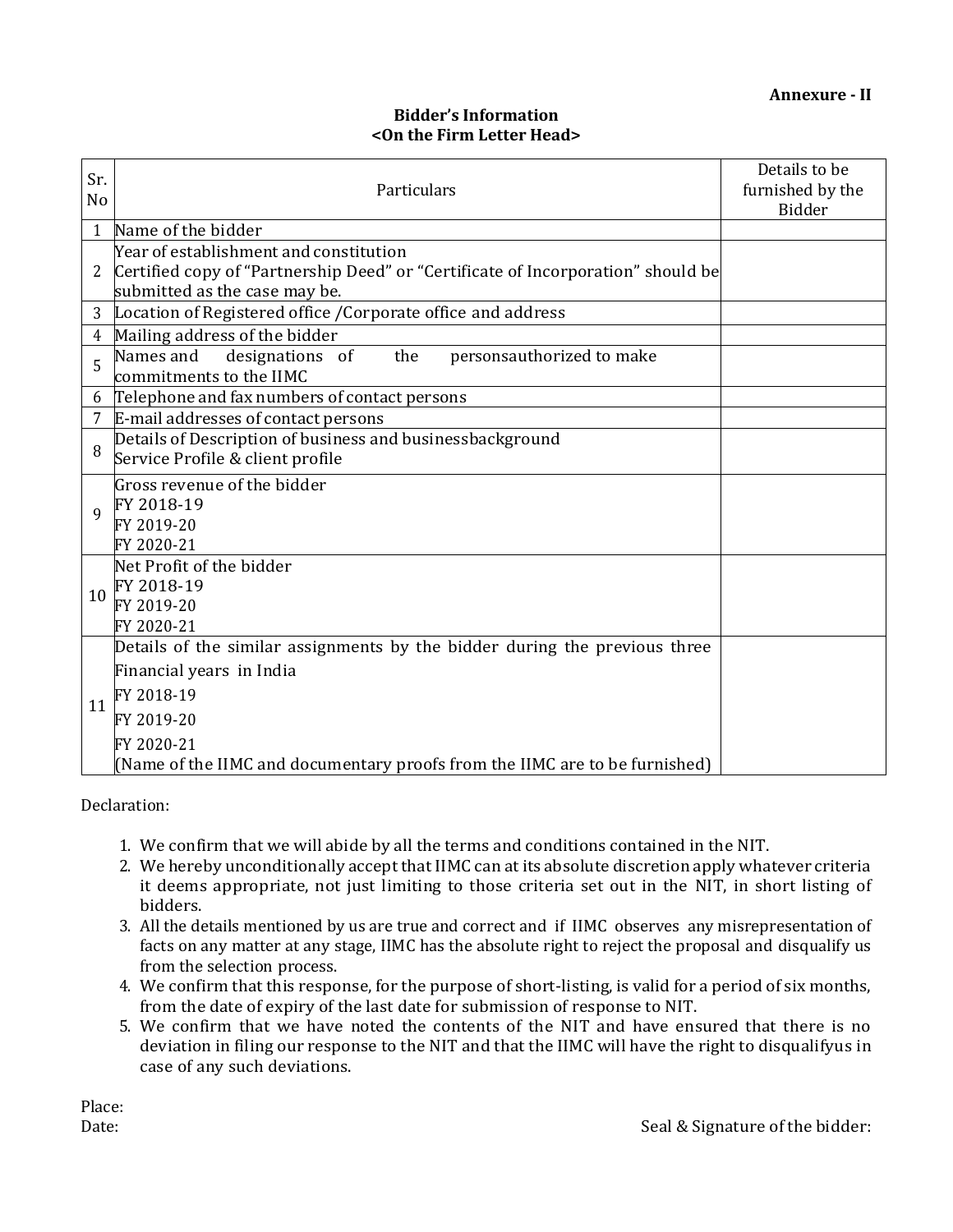# **Bidder's Information <On the Firm Letter Head>**

| Sr.<br>No      | Particulars                                                                                                       | Details to be<br>furnished by the<br>Bidder |
|----------------|-------------------------------------------------------------------------------------------------------------------|---------------------------------------------|
| $\mathbf{1}$   | Name of the bidder                                                                                                |                                             |
|                | Year of establishment and constitution                                                                            |                                             |
| 2              | Certified copy of "Partnership Deed" or "Certificate of Incorporation" should be<br>submitted as the case may be. |                                             |
| 3              | Location of Registered office / Corporate office and address                                                      |                                             |
| $\overline{4}$ | Mailing address of the bidder                                                                                     |                                             |
| 5              | Names and<br>the<br>personsauthorized to make<br>designations of<br>commitments to the IIMC                       |                                             |
| 6              | Telephone and fax numbers of contact persons                                                                      |                                             |
| 7              | E-mail addresses of contact persons                                                                               |                                             |
| 8              | Details of Description of business and businessbackground                                                         |                                             |
|                | Service Profile & client profile                                                                                  |                                             |
|                | Gross revenue of the bidder                                                                                       |                                             |
| 9              | FY 2018-19                                                                                                        |                                             |
|                | FY 2019-20                                                                                                        |                                             |
|                | FY 2020-21                                                                                                        |                                             |
|                | Net Profit of the bidder<br>FY 2018-19                                                                            |                                             |
| 10             | FY 2019-20                                                                                                        |                                             |
|                | FY 2020-21                                                                                                        |                                             |
|                | Details of the similar assignments by the bidder during the previous three                                        |                                             |
| 11             | Financial years in India                                                                                          |                                             |
|                | FY 2018-19                                                                                                        |                                             |
|                | FY 2019-20                                                                                                        |                                             |
|                | FY 2020-21                                                                                                        |                                             |
|                | (Name of the IIMC and documentary proofs from the IIMC are to be furnished)                                       |                                             |

Declaration:

- 1. We confirm that we will abide by all the terms and conditions contained in the NIT.
- 2. We hereby unconditionally accept that IIMC can at its absolute discretion apply whatever criteria it deems appropriate, not just limiting to those criteria set out in the NIT, in short listing of bidders.
- 3. All the details mentioned by us are true and correct and if IIMC observes any misrepresentation of facts on any matter at any stage, IIMC has the absolute right to reject the proposal and disqualify us from the selection process.
- 4. We confirm that this response, for the purpose of short-listing, is valid for a period of six months, from the date of expiry of the last date for submission of response to NIT.
- 5. We confirm that we have noted the contents of the NIT and have ensured that there is no deviation in filing our response to the NIT and that the IIMC will have the right to disqualifyus in case of any such deviations.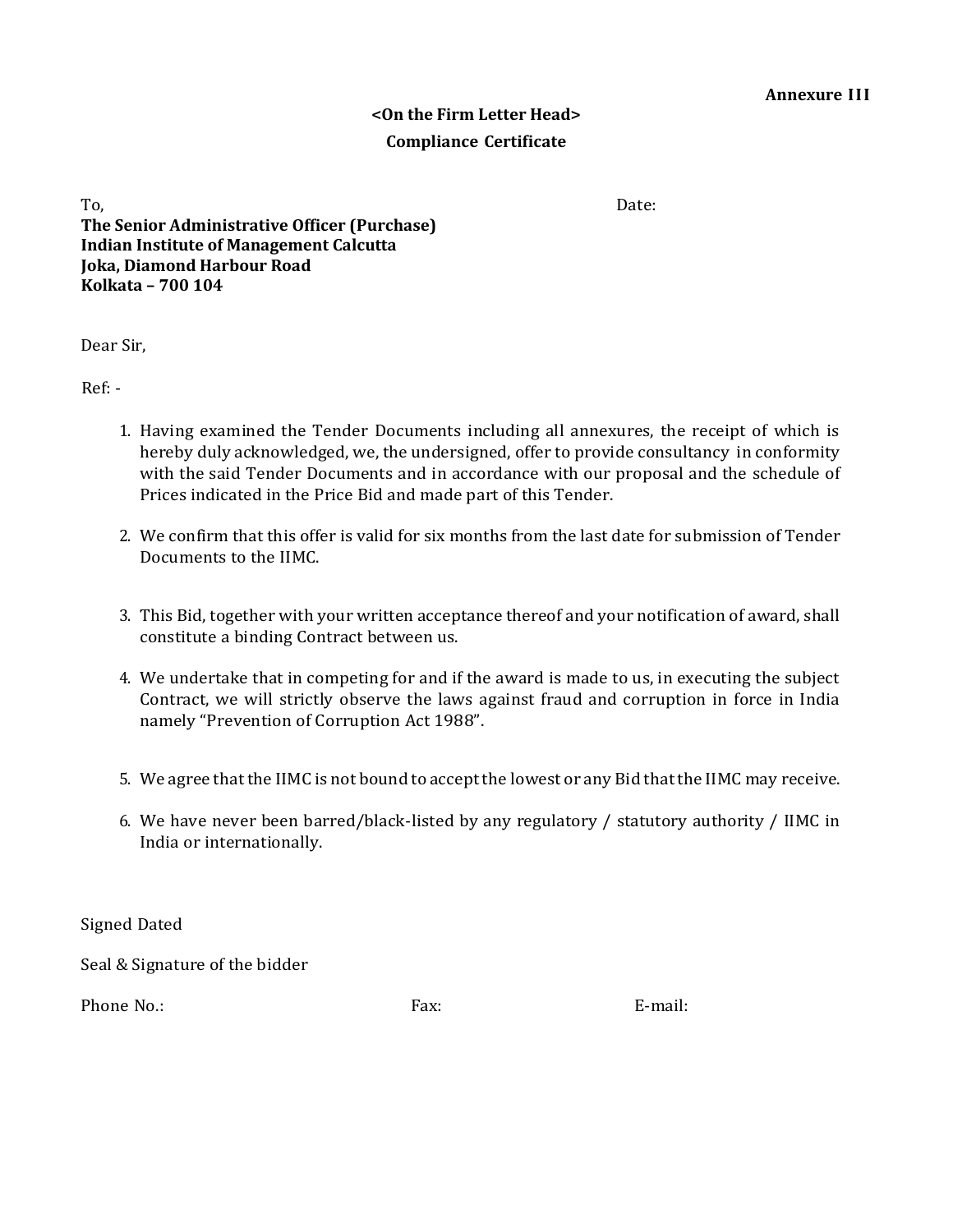# **<On the Firm Letter Head> Compliance Certificate**

To, the contract of the contract of the contract of the contract of the contract of the Date: **The Senior Administrative Officer (Purchase) Indian Institute of Management Calcutta Joka, Diamond Harbour Road Kolkata – 700 104**

Dear Sir,

Ref: -

- 1. Having examined the Tender Documents including all annexures, the receipt of which is hereby duly acknowledged, we, the undersigned, offer to provide consultancy in conformity with the said Tender Documents and in accordance with our proposal and the schedule of Prices indicated in the Price Bid and made part of this Tender.
- 2. We confirm that this offer is valid for six months from the last date for submission of Tender Documents to the IIMC.
- 3. This Bid, together with your written acceptance thereof and your notification of award, shall constitute a binding Contract between us.
- 4. We undertake that in competing for and if the award is made to us, in executing the subject Contract, we will strictly observe the laws against fraud and corruption in force in India namely "Prevention of Corruption Act 1988".
- 5. We agree that the IIMC is not bound to accept the lowest or any Bid that the IIMC may receive.
- 6. We have never been barred/black-listed by any regulatory / statutory authority / IIMC in India or internationally.

Signed Dated

Seal & Signature of the bidder

Phone No.: E-mail: E-mail: E-mail: E-mail: E-mail: E-mail: E-mail: E-mail: E-mail: E-mail: E-mail: E-mail: E-mail: E-mail: E-mail: E-mail: E-mail: E-mail: E-mail: E-mail: E-mail: E-mail: E-mail: E-mail: E-mail: E-mail: E-m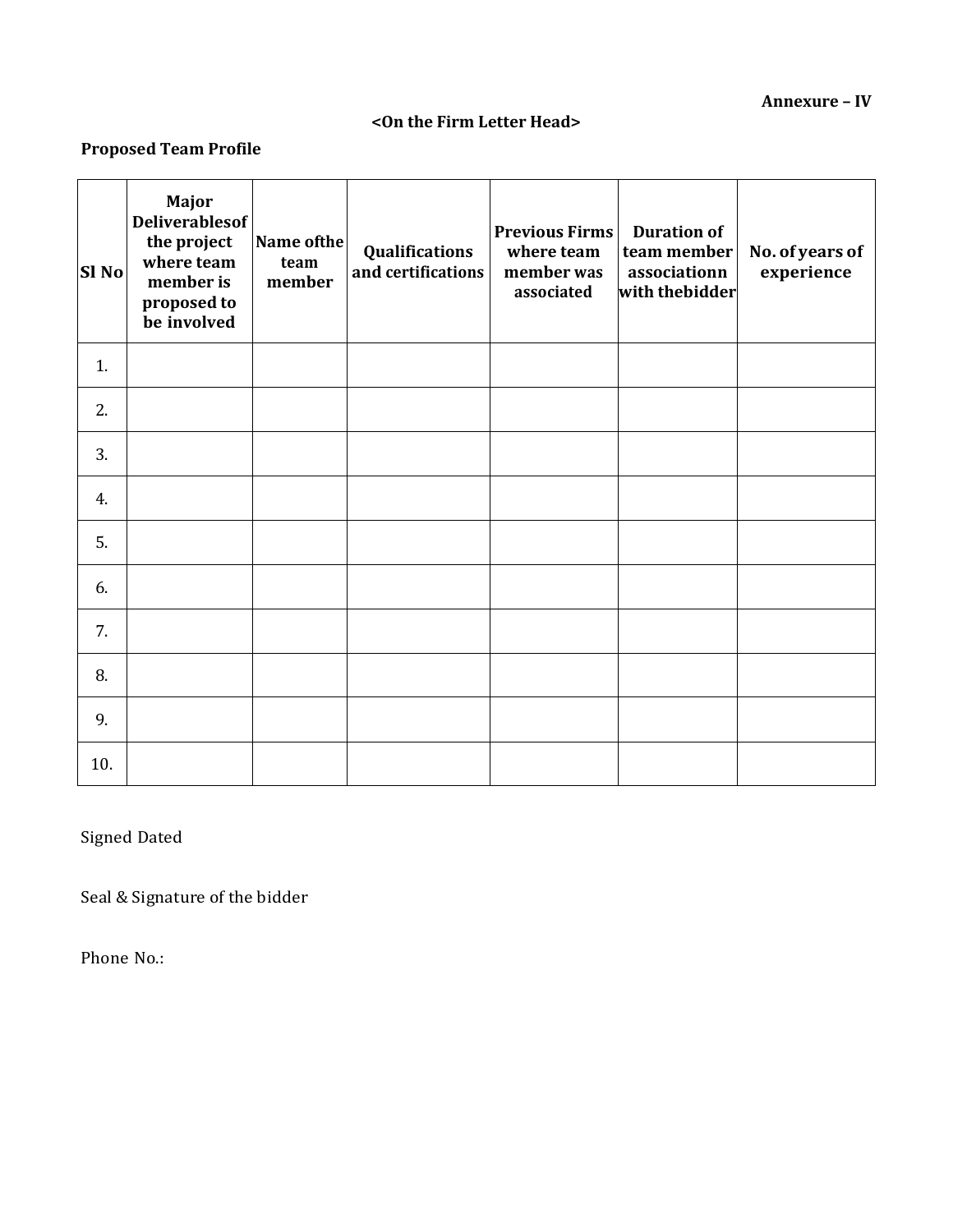# **<On the Firm Letter Head>**

# **Proposed Team Profile**

| Sl No | Major<br><b>Deliverablesof</b><br>the project<br>where team<br>member is<br>proposed to<br>be involved | Name of the<br>team<br>member | Qualifications<br>and certifications | <b>Previous Firms</b><br>where team<br>member was<br>associated | <b>Duration of</b><br>team member<br>associationn<br>with thebidder | No. of years of<br>experience |
|-------|--------------------------------------------------------------------------------------------------------|-------------------------------|--------------------------------------|-----------------------------------------------------------------|---------------------------------------------------------------------|-------------------------------|
| 1.    |                                                                                                        |                               |                                      |                                                                 |                                                                     |                               |
| 2.    |                                                                                                        |                               |                                      |                                                                 |                                                                     |                               |
| 3.    |                                                                                                        |                               |                                      |                                                                 |                                                                     |                               |
| 4.    |                                                                                                        |                               |                                      |                                                                 |                                                                     |                               |
| 5.    |                                                                                                        |                               |                                      |                                                                 |                                                                     |                               |
| 6.    |                                                                                                        |                               |                                      |                                                                 |                                                                     |                               |
| 7.    |                                                                                                        |                               |                                      |                                                                 |                                                                     |                               |
| 8.    |                                                                                                        |                               |                                      |                                                                 |                                                                     |                               |
| 9.    |                                                                                                        |                               |                                      |                                                                 |                                                                     |                               |
| 10.   |                                                                                                        |                               |                                      |                                                                 |                                                                     |                               |

Signed Dated

Seal & Signature of the bidder

Phone No.: